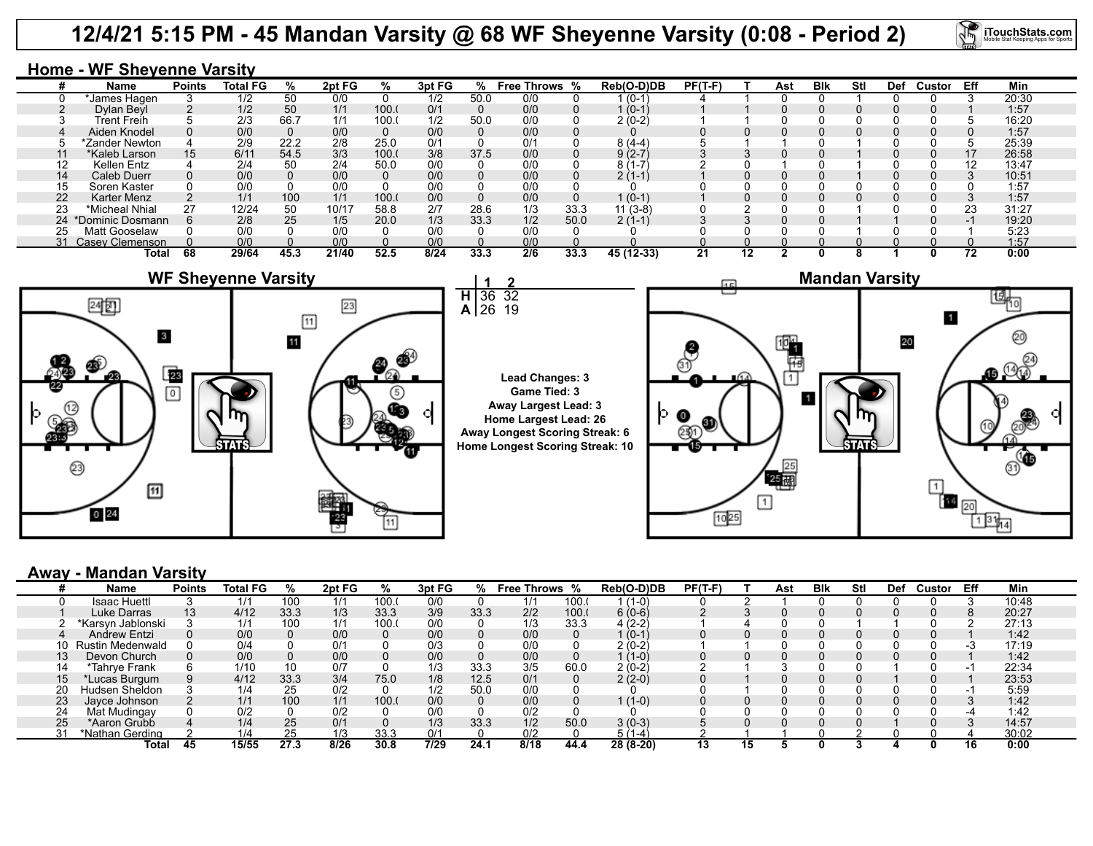### **12/4/21 5:15 PM - 45 Mandan Varsity @ 68 WF Sheyenne Varsity (0:08 - Period 2)**



#### **Home - WF Sheyenne Varsity**

|    | Name                | <b>Points</b> | <b>Total FG</b> | %    | 2pt FG | ℅     | 3pt FG | ℅    | Free Throws % |      | Reb(O-D)DB | $PF(T-F)$ |    | Ast | <b>BIK</b> | Stl | <b>Def</b> | Custor | Eff | Min   |
|----|---------------------|---------------|-----------------|------|--------|-------|--------|------|---------------|------|------------|-----------|----|-----|------------|-----|------------|--------|-----|-------|
|    | *James Hagen        |               | 1/2             | 50   | 0/0    |       | 1/2    | 50.0 | 0/0           |      | $(0-1)$    |           |    |     |            |     |            |        |     | 20:30 |
|    | Dylan Beyl          |               | 1/2             | 50   | 1/1    | 100.  | 0/1    |      | 0/0           |      | $1(0-1)$   |           |    |     |            |     |            |        |     | 1:57  |
|    | Trent Freih         |               | 2/3             | 66.7 | 1/1    | 100.  | 1/2    | 50.0 | 0/0           |      | $2(0-2)$   |           |    |     |            |     |            |        |     | 16:20 |
|    | Aiden Knodel        |               | 0/0             |      | 0/0    |       | 0/0    |      | 0/0           |      |            |           |    |     |            |     |            |        |     | 1:57  |
|    | *Zander Newton      |               | 2/9             | 22.2 | 2/8    | 25.0  | 0/1    |      | 0/1           |      | $8(4-4)$   |           |    |     |            |     |            |        |     | 25:39 |
|    | *Kaleb Larson       | 15            | 6/11            | 54.5 | 3/3    | 100.0 | 3/8    | 37.5 | 0/0           |      | $9(2-7)$   |           |    |     |            |     |            |        | 17  | 26:58 |
| 12 | Kellen Entz         |               | 2/4             | 50   | 2/4    | 50.0  | 0/0    |      | 0/0           |      |            |           |    |     |            |     |            |        |     | 13:47 |
| 14 | Caleb Duerr         |               | 0/0             |      | 0/0    |       | 0/0    |      | 0/0           |      | $2(1-1)$   |           |    |     |            |     |            |        |     | 10:51 |
| 15 | Soren Kaster        |               | 0/0             |      | 0/0    |       | 0/0    |      | 0/0           |      |            |           |    |     |            |     |            |        |     | 1:57  |
| 22 | Karter Menz         |               | 1/1             | 100  | 1/1    | 100.  | 0/0    |      | 0/0           |      | $1(0-1)$   |           |    |     |            |     |            |        |     | 1:57  |
| 23 | *Micheal Nhial      | 27            | 12/24           | 50   | 10/17  | 58.8  | 2/7    | 28.6 | 1/3           | 33.3 | $11(3-8)$  |           |    |     |            |     |            |        | 23  | 31:27 |
|    | 24 *Dominic Dosmann |               | 2/8             | 25   | 1/5    | 20.0  | 1/3    | 33.3 | 1/2           | 50.0 | $2(1-1)$   |           |    |     |            |     |            |        |     | 19:20 |
|    | Matt Gooselaw       |               | 0/0             |      | 0/0    |       | 0/0    |      | 0/0           |      |            |           |    |     |            |     |            |        |     | 5:23  |
|    | 31 Casey Clemenson  |               | 0/0             |      | 0/0    |       | 0/0    |      | 0/0           |      |            |           |    |     |            |     |            |        |     | 1:57  |
|    | Total               | 68            | 29/64           | 45.3 | 21/40  | 52.5  | 8/24   | 33.3 | 2/6           | 33.3 | 45 (12-33) | 21        | 12 |     |            | ^   |            |        | 72  | 0:00  |



#### **Away - Mandan Varsity**

|    | Name              | <b>Points</b> | <b>Total FG</b> | %    | 2pt FG | %     | 3pt FG |      | % Free Throws % |      | Reb(O-D)DB | $PF(T-F)$ |    | Ast | <b>B</b> lk | Stl | Def | Custor | Eff | Min   |
|----|-------------------|---------------|-----------------|------|--------|-------|--------|------|-----------------|------|------------|-----------|----|-----|-------------|-----|-----|--------|-----|-------|
|    | Isaac Huettl      |               | 1/1             | 100  | 1/1    | 100.  | 0/0    |      | 1/1             | 100. | $(1-0)$    |           |    |     |             |     |     |        |     | 10:48 |
|    | Luke Darras       | 13            | 4/12            | 33.3 | 1/3    | 33.3  | 3/9    | 33.3 | 2/2             | 100. | $6(0-6)$   |           |    |     |             |     |     |        |     | 20:27 |
|    | *Karsyn Jablonski |               | 1/1             | 100  | 1/1    | 100.  | 0/0    |      | 1/3             | 33.3 | 4 (2-2)    |           |    |     |             |     |     |        |     | 27:13 |
|    | Andrew Entzi      |               | 0/0             |      | 0/0    |       | 0/0    |      | 0/0             |      | 1 (0-1)    |           |    |     |             |     |     |        |     | 1:42  |
| 10 | Rustin Medenwald  |               | 0/4             |      | 0/1    |       | 0/3    |      | 0/0             |      | 2 (0-2)    |           |    |     |             |     |     |        |     | 17:19 |
|    | Devon Church      |               | 0/0             |      | 0/0    |       | 0/0    |      | 0/0             |      | $(1-0)$    |           |    |     |             |     |     |        |     | 1:42  |
| 14 | *Tahrye Frank     |               | 1/10            | 10   | 0/7    |       | 1/3    | 33.3 | 3/5             | 60.0 | $2(0-2)$   |           |    |     |             |     |     |        |     | 22:34 |
| 15 | Lucas Burgum      |               | 4/12            | 33.3 | 3/4    | 75.0  | 1/8    | 12.5 | 0/1             |      | 2 (2-0)    |           |    |     |             |     |     |        |     | 23:53 |
| 20 | Hudsen Sheldon    |               | 1/4             | 25   | 0/2    |       | 1/2    | 50.0 | 0/0             |      |            |           |    |     |             |     |     |        |     | 5:59  |
| 23 | Javce Johnson     |               | 1/1             | 100  | 1/1    | 100.0 | 0/0    |      | 0/0             |      | $(1-0)$    |           |    |     |             |     |     |        |     | 1:42  |
| 24 | Mat Mudingay      |               | 0/2             |      | 0/2    |       | 0/0    |      | 0/2             |      |            |           |    |     |             |     |     |        |     | 1:42  |
| 25 | *Aaron Grubb      |               | 1/4             | 25   | 0/1    |       | 1/3    | 33.3 | 1/2             | 50.0 | $3(0-3)$   |           |    |     |             |     |     |        |     | 14:57 |
|    | *Nathan Gerding   |               | 1/4             |      | 1/3    | 33.3  | 0/1    |      | 0/2             |      | $5(1-4)$   |           |    |     |             |     |     |        |     | 30:02 |
|    | Total             | 45            | 15/55           | 27.3 | 8/26   | 30.8  | 7/29   | 24.1 | 8/18            | 44.4 | 28 (8-20)  | 13        | 15 |     |             |     |     |        | 16. | 0:00  |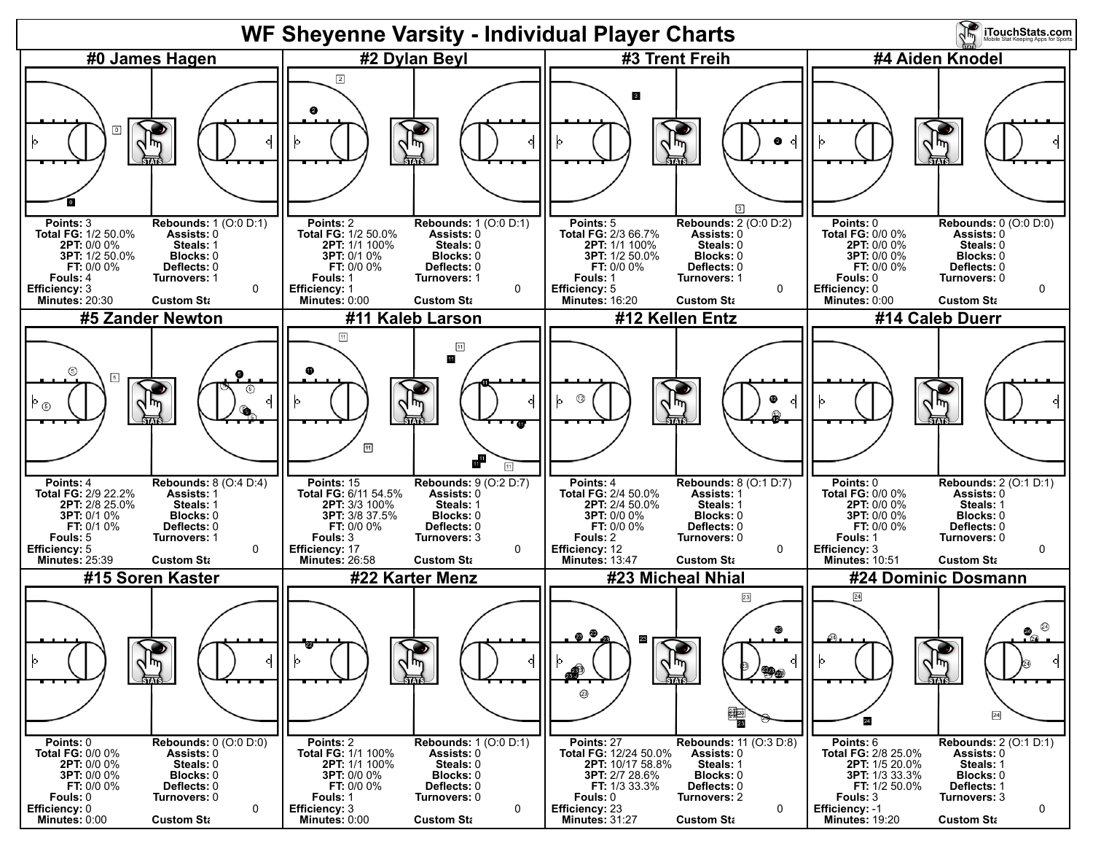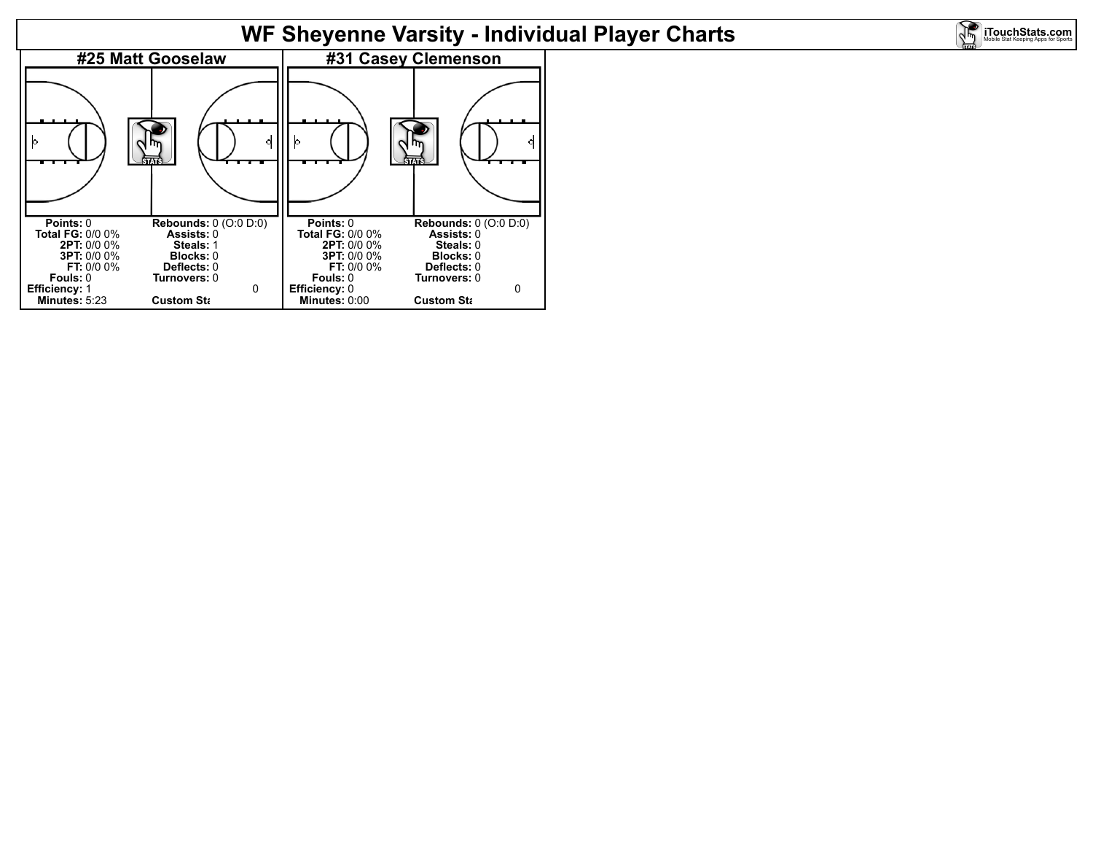## **WF Sheyenne Varsity - Individual Player Charts**

**iTouchStats.com** 

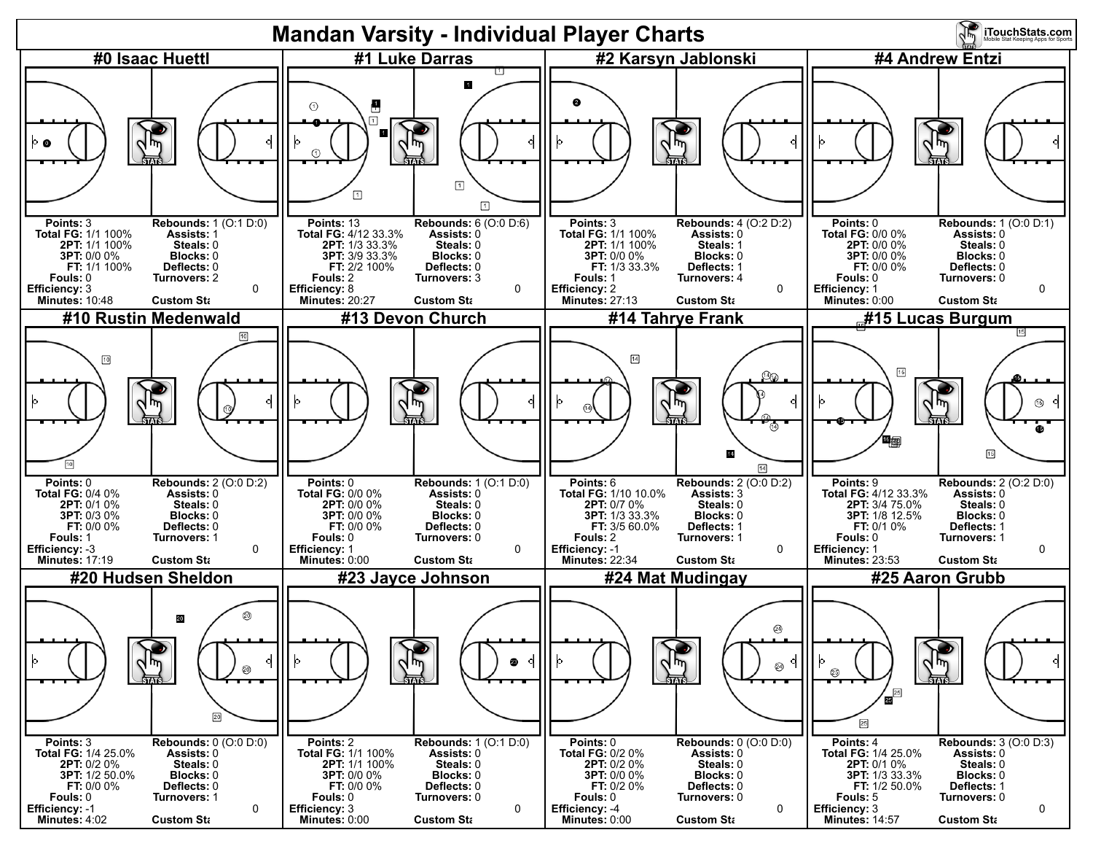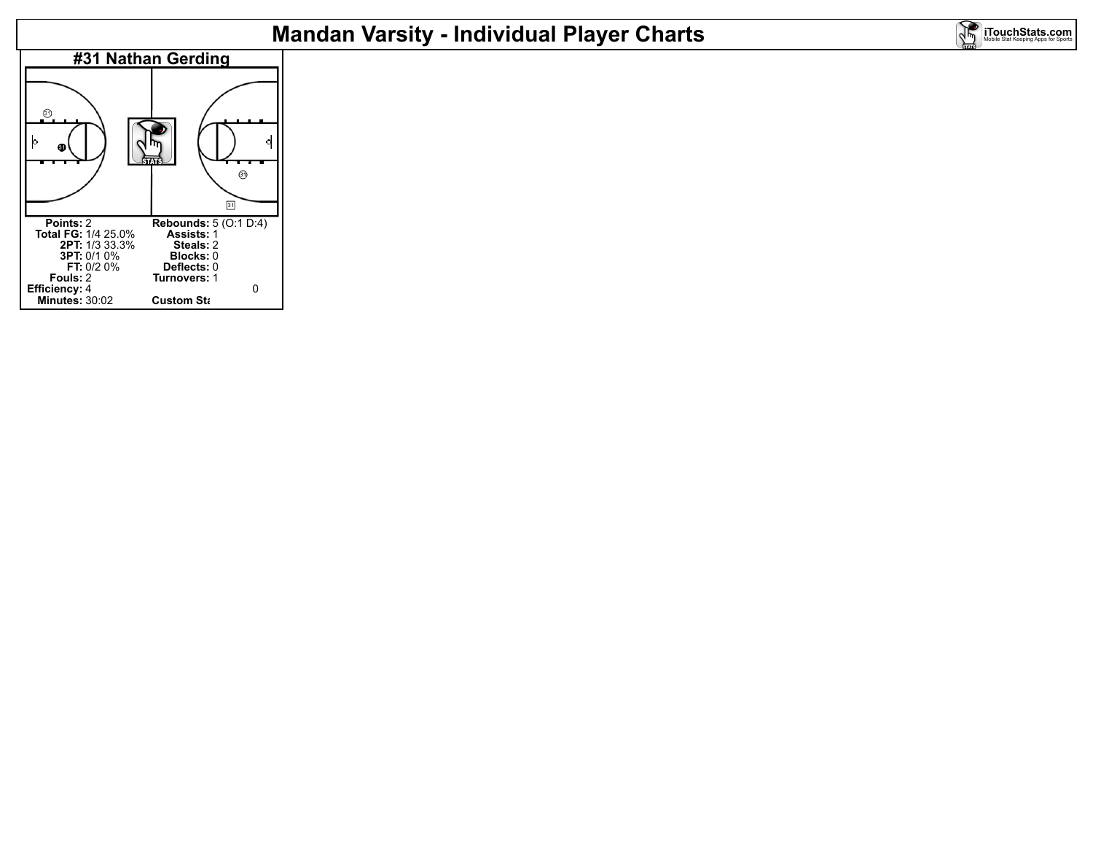# **Mandan Varsity - Individual Player Charts**

**iTouchStats.com**<br>Mobile Stat Keeping Apps for Sports

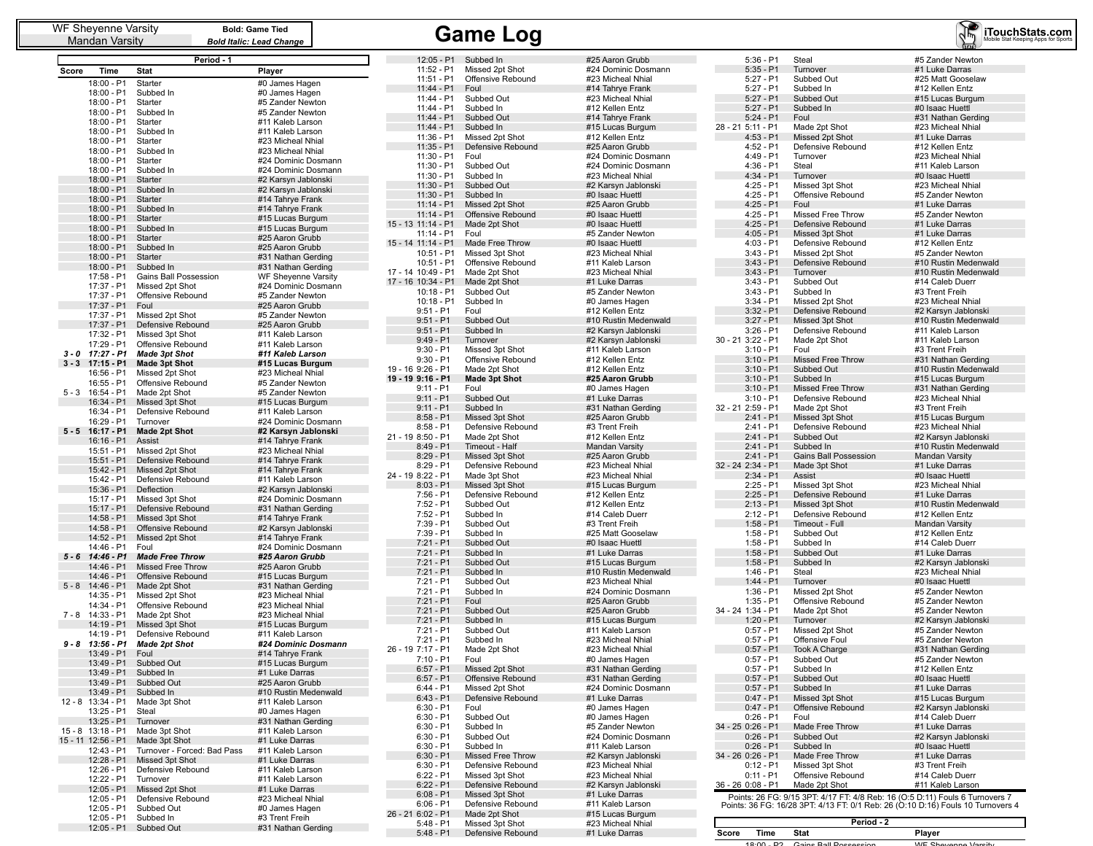|         |                            | Period - 1                                         |                                            |
|---------|----------------------------|----------------------------------------------------|--------------------------------------------|
| Score   | Time                       | <b>Stat</b>                                        | Player                                     |
|         | 18:00 - P1                 | Starter                                            | #0 James Hagen                             |
|         | 18:00 - P1                 | Subbed In                                          | #0 James Hagen                             |
|         | 18:00 - P1                 | Starter                                            | #5 Zander Newton                           |
|         | 18:00 - P1                 | Subbed In                                          | #5 Zander Newton                           |
|         | 18:00 - P1                 | Starter<br>Subbed In                               | #11 Kaleb Larson<br>#11 Kaleb Larson       |
|         | 18:00 - P1<br>18:00 - P1   | Starter                                            | #23 Micheal Nhial                          |
|         | 18:00 - P1                 | Subbed In                                          | #23 Micheal Nhial                          |
|         | 18:00 - P1                 | Starter                                            | #24 Dominic Dosmann                        |
|         | 18:00 - P1                 | Subbed In                                          | #24 Dominic Dosmann                        |
|         | 18:00 - P1                 | Starter                                            | #2 Karsyn Jablonski                        |
|         | 18:00 - P1                 | Subbed In                                          | #2 Karsyn Jablonski                        |
|         | 18:00 - P1<br>18:00 - P1   | Starter<br>Subbed In                               | #14 Tahrye Frank<br>#14 Tahrye Frank       |
|         | 18:00 - P1                 | Starter                                            | #15 Lucas Burgum                           |
|         | 18:00 - P1                 | Subbed In                                          | #15 Lucas Burgum                           |
|         | 18:00 - P1                 | Starter                                            | #25 Aaron Grubb                            |
|         | 18:00 - P1                 | Subbed In                                          | #25 Aaron Grubb                            |
|         | 18:00 - P1                 | Starter                                            | #31 Nathan Gerding                         |
|         | 18:00 - P1                 | Subbed In                                          | #31 Nathan Gerding                         |
|         | 17:58 - P1<br>17:37 - P1   | Gains Ball Possession<br>Missed 2pt Shot           | WF Sheyenne Varsity<br>#24 Dominic Dosmann |
|         | 17:37 - P1                 | Offensive Rebound                                  | #5 Zander Newton                           |
|         | 17:37 - P1                 | Foul                                               | #25 Aaron Grubb                            |
|         | 17:37 - P1                 | Missed 2pt Shot                                    | #5 Zander Newton                           |
|         | 17:37 - P1                 | Defensive Rebound                                  | #25 Aaron Grubb                            |
|         | 17:32 - P1                 | Missed 3pt Shot                                    | #11 Kaleb Larson                           |
| 3 - 0   | 17:29 - P1<br>$17:27 - P1$ | Offensive Rebound<br><b>Made 3pt Shot</b>          | #11 Kaleb Larson<br>#11 Kaleb Larson       |
| $3 - 3$ | $17:15 - P1$               | <b>Made 3pt Shot</b>                               | #15 Lucas Burgum                           |
|         | 16:56 - P1                 | Missed 2pt Shot                                    | #23 Micheal Nhial                          |
|         | 16:55 - P1                 | Offensive Rebound                                  | #5 Zander Newton                           |
| $5 - 3$ | 16:54 - P1                 | Made 2pt Shot                                      | #5 Zander Newton                           |
|         | 16:34 - P1                 | Missed 3pt Shot                                    | #15 Lucas Burgum                           |
|         | 16:34 - P1                 | Defensive Rebound<br>Turnover                      | #11 Kaleb Larson                           |
| $5-5$   | 16:29 - P1<br>16:17 - P1   | <b>Made 2pt Shot</b>                               | #24 Dominic Dosmann<br>#2 Karsyn Jablonski |
|         | $16:16 - P1$               | Assist                                             | #14 Tahrye Frank                           |
|         | 15:51 - P1                 | Missed 2pt Shot                                    | #23 Micheal Nhial                          |
|         | 15:51 - P1                 | Defensive Rebound                                  | #14 Tahrye Frank                           |
|         | 15:42 - P1                 | Missed 2pt Shot                                    | #14 Tahrye Frank                           |
|         | 15:42 - P1<br>15:36 - P1   | Defensive Rebound<br>Deflection                    | #11 Kaleb Larson                           |
|         | 15:17 - P1                 | Missed 3pt Shot                                    | #2 Karsyn Jablonski<br>#24 Dominic Dosmann |
|         | 15:17 - P1                 | Defensive Rebound                                  | #31 Nathan Gerding                         |
|         | 14:58 - P1                 | Missed 3pt Shot                                    | #14 Tahrye Frank                           |
|         | 14:58 - P1                 | Offensive Rebound                                  | #2 Karsyn Jablonski                        |
|         | 14:52 - P1                 | Missed 2pt Shot                                    | #14 Tahrye Frank                           |
|         | 14:46 - P1                 | Foul                                               | #24 Dominic Dosmann                        |
| 5 - 6   | 14:46 - P1<br>14:46 - P1   | <b>Made Free Throw</b><br><b>Missed Free Throw</b> | #25 Aaron Grubb<br>#25 Aaron Grubb         |
|         | 14:46 - P1                 | Offensive Rebound                                  | #15 Lucas Burgum                           |
| $5 - 8$ | 14:46 - P1                 | Made 2pt Shot                                      | #31 Nathan Gerding                         |
|         | 14:35 - P1                 | Missed 2pt Shot                                    | #23 Micheal Nhial                          |
|         | 14:34 - P1                 | Offensive Rebound                                  | #23 Micheal Nhial                          |
| $7 - 8$ | 14:33 - P1<br>14:19 - P1   | Made 2pt Shot                                      | #23 Micheal Nhial<br>#15 Lucas Burgum      |
|         | 14:19 - P1                 | Missed 3pt Shot<br>Defensive Rebound               | #11 Kaleb Larson                           |
| $9 - 8$ | 13:56 - P1                 | <b>Made 2pt Shot</b>                               | #24 Dominic Dosmann                        |
|         | 13:49 - P1                 | Foul                                               | #14 Tahrye Frank                           |
|         | 13:49 - P1                 | Subbed Out                                         | #15 Lucas Burgum                           |
|         | 13:49 - P1                 | Subbed In                                          | #1 Luke Darras                             |
|         | 13:49 - P1<br>13:49 - P1   | Subbed Out                                         | #25 Aaron Grubb<br>#10 Rustin Medenwald    |
| 12 - 8  | 13:34 - P1                 | Subbed In<br>Made 3pt Shot                         | #11 Kaleb Larson                           |
|         | 13:25 - P1                 | Steal                                              | #0 James Hagen                             |
|         | 13:25 - P1                 | Turnover                                           | #31 Nathan Gerding                         |
| 15 - 8  | 13:18 - P1                 | Made 3pt Shot                                      | #11 Kaleb Larson                           |
|         | 15 - 11 12:56 - P1         | Made 3pt Shot                                      | #1 Luke Darras                             |
|         | 12:43 - P1                 | Turnover - Forced: Bad Pass                        | #11 Kaleb Larson                           |
|         | 12:28 - P1<br>12:26 - P1   | Missed 3pt Shot<br>Defensive Rebound               | #1 Luke Darras<br>#11 Kaleb Larson         |
|         | 12:22 - P1                 | Turnover                                           | #11 Kaleb Larson                           |
|         | 12:05 - P1                 | Missed 2pt Shot                                    | #1 Luke Darras                             |
|         | 12:05 - P1                 | Defensive Rebound                                  | #23 Micheal Nhial                          |
|         | 12:05 - P1                 | Subbed Out                                         | #0 James Hagen                             |
|         | 12:05 - P1                 | Subbed In<br>Subbed Out                            | #3 Trent Freih                             |
|         | 12:05 - P1                 |                                                    | #31 Nathan Gerding                         |

| $12:05 - P1$                             | Subbed In                        | #25 Aaron Grubb                          |
|------------------------------------------|----------------------------------|------------------------------------------|
| 11:52 - P1                               | Missed 2pt Shot                  | #24 Dominic Dosmann                      |
| $11:51 - P1$                             | Offensive Rebound                | #23 Micheal Nhial                        |
| 11:44 - P1                               | Foul                             | #14 Tahrye Frank                         |
| 11:44 - P1                               | Subbed Out                       | #23 Micheal Nhial                        |
| 11:44 - P1                               | Subbed In                        | #12 Kellen Entz                          |
| 11:44 - P1                               | Subbed Out                       | #14 Tahrye Frank                         |
| 11:44 - P1                               | Subbed In                        | #15 Lucas Burgum                         |
| 11:36 - P1                               | Missed 2pt Shot                  | #12 Kellen Entz                          |
| $11:35 - P1$                             | Defensive Rebound                | #25 Aaron Grubb                          |
| 11:30 - P1                               | Foul                             | #24 Dominic Dosmann                      |
| 11:30 - P1<br>11:30 - P1                 | Subbed Out<br>Subbed In          | #24 Dominic Dosmann<br>#23 Micheal Nhial |
| 11:30 - P1                               | Subbed Out                       | #2 Karsyn Jablonski                      |
| $11:30 - P1$                             | Subbed In                        | #0 Isaac Huettl                          |
| 11:14 - P1                               | Missed 2pt Shot                  | #25 Aaron Grubb                          |
| 11:14 - P1                               | Offensive Rebound                | #0 Isaac Huettl                          |
| 15 - 13 11:14 - P1                       | Made 2pt Shot                    | #0 Isaac Huettl                          |
| $11:14 - P1$                             | Foul                             | #5 Zander Newton                         |
| 15 - 14 11:14 - P1                       | Made Free Throw                  | #0 Isaac Huettl                          |
| 10:51 - P1                               | Missed 3pt Shot                  | #23 Micheal Nhial                        |
| 10:51 - P1                               | Offensive Rebound                | #11 Kaleb Larson                         |
| 17 - 14 10:49 - P1<br>17 - 16 10:34 - P1 | Made 2pt Shot<br>Made 2pt Shot   | #23 Micheal Nhial<br>#1 Luke Darras      |
| $10:18 - P1$                             | Subbed Out                       | #5 Zander Newton                         |
| 10:18 - P1                               | Subbed In                        | #0 James Hagen                           |
| $9:51 - P1$                              | Foul                             | #12 Kellen Entz                          |
| $9:51 - P1$                              | Subbed Out                       | #10 Rustin Medenwald                     |
| $9:51 - P1$                              | Subbed In                        | #2 Karsyn Jablonski                      |
| $9:49 - P1$                              | Turnover                         | #2 Karsyn Jablonski                      |
| $9:30 - P1$                              | Missed 3pt Shot                  | #11 Kaleb Larson                         |
| $9:30 - P1$                              | Offensive Rebound                | #12 Kellen Entz                          |
| 19 - 16 9:26 - P1                        | Made 2pt Shot                    | #12 Kellen Entz                          |
| 19 - 19 9:16 - P1                        | <b>Made 3pt Shot</b>             | #25 Aaron Grubb                          |
| 9:11 - P1<br>$9:11 - P1$                 | Foul<br>Subbed Out               | #0 James Hagen<br>#1 Luke Darras         |
| $9:11 - P1$                              | Subbed In                        | #31 Nathan Gerding                       |
| $8:58 - P1$                              | Missed 3pt Shot                  | #25 Aaron Grubb                          |
| $8:58 - P1$                              | Defensive Rebound                | #3 Trent Freih                           |
| 21 - 19 8:50 - P1                        | Made 2pt Shot                    | #12 Kellen Entz                          |
|                                          |                                  |                                          |
| $8:49 - P1$                              | Timeout - Half                   | Mandan Varsity                           |
| $8:29 - P1$                              | Missed 3pt Shot                  | #25 Aaron Grubb                          |
| $8:29 - P1$                              | Defensive Rebound                | #23 Micheal Nhial                        |
| 24 - 19 8:22 - P1                        | Made 3pt Shot                    | #23 Micheal Nhial                        |
| $8:03 - P1$                              | Missed 3pt Shot                  | #15 Lucas Burgum                         |
| $7:56 - P1$                              | Defensive Rebound                | #12 Kellen Entz                          |
| $7:52 - P1$                              | Subbed Out                       | #12 Kellen Entz                          |
| $7:52 - P1$                              | Subbed In                        | #14 Caleb Duerr                          |
| $7:39 - P1$<br>$7:39 - P1$               | Subbed Out<br>Subbed In          | #3 Trent Freih<br>#25 Matt Gooselaw      |
| $7:21 - P1$                              | Subbed Out                       | #0 Isaac Huettl                          |
| $7:21 - P1$                              | Subbed In                        | #1 Luke Darras                           |
| $7:21 - P1$                              | Subbed Out                       | #15 Lucas Burgum                         |
| 7:21 - P1                                | Subbed In                        | #10 Rustin Medenwald                     |
| $7:21 - P1$                              | Subbed Out                       | #23 Micheal Nhial                        |
| $7:21 - P1$                              | Subbed In                        | #24 Dominic Dosmann                      |
| $7:21 - P1$                              | Foul                             | #25 Aaron Grubb                          |
| $7:21 - P1$                              | Subbed Out                       | #25 Aaron Grubb                          |
| $7:21 - P1$<br>$7:21 - P1$               | Subbed In<br>Subbed Out          | #15 Lucas Burgum<br>#11 Kaleb Larson     |
| $7:21 - P1$                              | Subbed In                        | #23 Micheal Nhial                        |
| 26 - 19 7:17 - P1                        | Made 2pt Shot                    | #23 Micheal Nhial                        |
| 7:10 - P1                                | Foul                             | #0 James Hagen                           |
| $6:57 - P1$                              | Missed 2pt Shot                  | #31 Nathan Gerding                       |
| $6:57 - P1$                              | Offensive Rebound                | #31 Nathan Gerding                       |
| 6:44 - P1                                | Missed 2pt Shot                  | #24 Dominic Dosmann                      |
| $6:43 - P1$                              | Defensive Rebound                | #1 Luke Darras                           |
| $6:30 - P1$                              | Foul                             | #0 James Hagen                           |
| $6:30 - P1$<br>$6:30 - P1$               | Subbed Out<br>Subbed In          | #0 James Hagen<br>#5 Zander Newton       |
| $6:30 - P1$                              | Subbed Out                       | #24 Dominic Dosmann                      |
| 6:30 - P1                                | Subbed In                        | #11 Kaleb Larson                         |
| $6:30 - P1$                              | Missed Free Throw                | #2 Karsyn Jablonski                      |
| $6:30 - P1$                              | Defensive Rebound                | #23 Micheal Nhial                        |
| $6:22 - P1$                              | Missed 3pt Shot                  | #23 Micheal Nhial                        |
| $6:22 - P1$                              | Defensive Rebound                | #2 Karsyn Jablonski                      |
| $6:08 - P1$                              | Missed 3pt Shot                  | #1 Luke Darras                           |
| 6:06 - P1                                | Defensive Rebound                | #11 Kaleb Larson                         |
| 26 - 21 6:02 - P1<br>$5:48 - P1$         | Made 2pt Shot<br>Missed 3pt Shot | #15 Lucas Burgum<br>#23 Micheal Nhial    |

| WF Sheyenne Varsity<br>Mandan Varsity |                                | <b>Bold: Game Tied</b><br><b>Bold Italic: Lead Change</b> |                            | <b>Game Log</b>         |                                          |                            |                                      | iTouchStats.com                                                                 |
|---------------------------------------|--------------------------------|-----------------------------------------------------------|----------------------------|-------------------------|------------------------------------------|----------------------------|--------------------------------------|---------------------------------------------------------------------------------|
|                                       | Period - 1                     |                                                           |                            | 12:05 - P1 Subbed In    | #25 Aaron Grubb                          | $5:36 - P1$                | Steal                                | #5 Zander Newton                                                                |
| Time<br>Score                         | Stat                           | Player                                                    | $11:52 - P1$               | Missed 2pt Shot         | #24 Dominic Dosmann                      | $5:35 - P1$                | Turnover                             | #1 Luke Darras                                                                  |
| 18:00 - P1                            | Starter                        | #0 James Hagen                                            | 11:51 - P1                 | Offensive Rebound       | #23 Micheal Nhial                        | $5:27 - P1$                | Subbed Out                           | #25 Matt Gooselaw                                                               |
| 18:00 - P1                            | Subbed In                      | #0 James Hagen                                            | 11:44 - P1                 | Foul                    | #14 Tahrye Frank                         | $5:27 - P1$                | Subbed In                            | #12 Kellen Entz                                                                 |
| 18:00 - P1                            | Starter                        | #5 Zander Newton                                          | 11:44 - P1                 | Subbed Out              | #23 Micheal Nhial                        | $5:27 - P1$                | Subbed Out                           | #15 Lucas Burgum                                                                |
| 18:00 - P1                            | Subbed In                      | #5 Zander Newton                                          | 11:44 - P1                 | Subbed In               | #12 Kellen Entz                          | $5:27 - P1$                | Subbed In                            | #0 Isaac Huettl                                                                 |
| 18:00 - P1                            | Starter                        | #11 Kaleb Larson                                          | 11:44 - P1                 | Subbed Out              | #14 Tahrye Frank                         | $5:24 - P1$                | Foul                                 | #31 Nathan Gerding                                                              |
| 18:00 - P1                            | Subbed In                      | #11 Kaleb Larson                                          | 11:44 - P1                 | Subbed In               | #15 Lucas Burgum                         | 28 - 21 5:11 - P1          | Made 2pt Shot                        | #23 Micheal Nhial                                                               |
| 18:00 - P1                            | Starter                        | #23 Micheal Nhial                                         | 11:36 - P1                 | Missed 2pt Shot         | #12 Kellen Entz                          | $4:53 - P1$                | Missed 2pt Shot                      | #1 Luke Darras                                                                  |
| 18:00 - P1                            | Subbed In                      | #23 Micheal Nhial                                         | $11:35 - P1$               | Defensive Rebound       | #25 Aaron Grubb                          | $4:52 - P1$                | Defensive Rebound                    | #12 Kellen Entz                                                                 |
| 18:00 - P1                            | Starter                        | #24 Dominic Dosmann                                       | $11:30 - P1$               | Foul                    | #24 Dominic Dosmann                      | $4:49 - P1$                | Turnover                             | #23 Micheal Nhial                                                               |
| 18:00 - P1                            | Subbed In                      | #24 Dominic Dosmann                                       | 11:30 - P1                 | Subbed Out              | #24 Dominic Dosmann                      | $4:36 - P1$                | Steal                                | #11 Kaleb Larson                                                                |
| 18:00 - P1                            | Starter                        | #2 Karsyn Jablonski                                       | $11:30 - P1$               | Subbed In               | #23 Micheal Nhial                        | $4:34 - P1$                | Turnover                             | #0 Isaac Huettl                                                                 |
| 18:00 - P1                            | Subbed In                      | #2 Karsyn Jablonski                                       | $11:30 - P1$               | Subbed Out              | #2 Karsyn Jablonski                      | $4:25 - P1$                | Missed 3pt Shot                      | #23 Micheal Nhial                                                               |
| 18:00 - P1                            | Starter                        | #14 Tahrye Frank                                          | 11:30 - P1                 | Subbed In               | #0 Isaac Huettl                          | 4:25 - P1                  | Offensive Rebound                    | #5 Zander Newton                                                                |
| 18:00 - P1                            | Subbed In                      | #14 Tahrye Frank                                          | $11:14 - P1$               | Missed 2pt Shot         | #25 Aaron Grubb                          | $4:25 - P1$                | Foul                                 | #1 Luke Darras                                                                  |
| 18:00 - P1                            | Starter                        | #15 Lucas Burgum                                          | $11:14 - P1$               | Offensive Rebound       | #0 Isaac Huettl                          | $4:25 - P1$                | Missed Free Throw                    | #5 Zander Newton                                                                |
| 18:00 - P1                            | Subbed In                      | #15 Lucas Burgum                                          | 15 - 13 11:14 - P1         | Made 2pt Shot           | #0 Isaac Huettl                          | $4:25 - P1$                | Defensive Rebound                    | #1 Luke Darras                                                                  |
| 18:00 - P1                            | Starter                        | #25 Aaron Grubb                                           | $11:14 - P1$               | Foul                    | #5 Zander Newton                         | $4:05 - P1$                | Missed 3pt Shot                      | #1 Luke Darras                                                                  |
| 18:00 - P1                            | Subbed In                      | #25 Aaron Grubb                                           | 15 - 14 11:14 - P1         | Made Free Throw         | #0 Isaac Huettl                          | $4:03 - P1$                | Defensive Rebound                    | #12 Kellen Entz                                                                 |
| 18:00 - P1                            | Starter                        | #31 Nathan Gerding                                        | 10:51 - P1                 | Missed 3pt Shot         | #23 Micheal Nhial                        | $3:43 - P1$                | Missed 2pt Shot                      | #5 Zander Newton                                                                |
| 18:00 - P1                            | Subbed In                      | #31 Nathan Gerding                                        | $10:51 - P1$               | Offensive Rebound       | #11 Kaleb Larson                         | $3:43 - P1$                | Defensive Rebound                    | #10 Rustin Medenwald                                                            |
| 17:58 - P1                            | Gains Ball Possession          | WF Sheyenne Varsity                                       | 17 - 14 10:49 - P1         | Made 2pt Shot           | #23 Micheal Nhial                        | $3:43 - P1$                | Turnover                             | #10 Rustin Medenwald                                                            |
| 17:37 - P1                            | Missed 2pt Shot                | #24 Dominic Dosmann                                       | 17 - 16 10:34 - P1         | Made 2pt Shot           | #1 Luke Darras                           | $3:43 - P1$                | Subbed Out                           | #14 Caleb Duerr                                                                 |
| 17:37 - P1                            | Offensive Rebound              | #5 Zander Newton                                          | 10:18 - P1                 | Subbed Out              | #5 Zander Newton                         | $3:43 - P1$                | Subbed In                            | #3 Trent Freih                                                                  |
| 17:37 - P1                            | Foul                           | #25 Aaron Grubb                                           | $10:18 - P1$               | Subbed In               | #0 James Hagen                           | $3:34 - P1$                | Missed 2pt Shot                      | #23 Micheal Nhial                                                               |
| 17:37 - P1                            | Missed 2pt Shot                | #5 Zander Newton                                          | $9:51 - P1$                | Foul                    | #12 Kellen Entz                          | $3:32 - P1$                | Defensive Rebound                    | #2 Karsyn Jablonski                                                             |
| 17:37 - P1                            | Defensive Rebound              | #25 Aaron Grubb                                           | $9:51 - P1$                | Subbed Out              | #10 Rustin Medenwald                     | $3:27 - P1$                | Missed 3pt Shot                      | #10 Rustin Medenwald                                                            |
| 17:32 - P1                            | Missed 3pt Shot                | #11 Kaleb Larson                                          | $9:51 - P1$                | Subbed In               | #2 Karsyn Jablonski                      | $3:26 - P1$                | Defensive Rebound                    | #11 Kaleb Larson                                                                |
| 17:29 - P1                            | Offensive Rebound              | #11 Kaleb Larson                                          | $9:49 - P1$                | Turnover                | #2 Karsyn Jablonski                      | 30 - 21 3:22 - P1          | Made 2pt Shot                        | #11 Kaleb Larson                                                                |
| 17:27 - P1<br>3 - 0                   | <b>Made 3pt Shot</b>           | #11 Kaleb Larson                                          | $9:30 - P1$                | Missed 3pt Shot         | #11 Kaleb Larson                         | $3:10 - P1$                | Foul                                 | #3 Trent Freih                                                                  |
| 3 - 3 17:15 P1                        | <b>Made 3pt Shot</b>           | #15 Lucas Burgum                                          | $9:30 - P1$                | Offensive Rebound       | #12 Kellen Entz                          | $3:10 - P1$                | Missed Free Throw                    | #31 Nathan Gerding                                                              |
| 16:56 - P1                            | Missed 2pt Shot                | #23 Micheal Nhial                                         | 19 - 16 9:26 - P1          | Made 2pt Shot           | #12 Kellen Entz                          | $3:10 - P1$                | Subbed Out                           | #10 Rustin Medenwald                                                            |
| 16:55 - P1                            | Offensive Rebound              | #5 Zander Newton                                          | 19 - 19 9:16 - P1          | <b>Made 3pt Shot</b>    | #25 Aaron Grubb                          | $3:10 - P1$                | Subbed In                            | #15 Lucas Burgum                                                                |
| $5 - 3$ 16:54 - P1                    | Made 2pt Shot                  | #5 Zander Newton                                          | $9:11 - P1$                | Foul                    | #0 James Hagen                           | $3:10 - P1$                | <b>Missed Free Throw</b>             | #31 Nathan Gerding                                                              |
| 16:34 - P1                            | Missed 3pt Shot                | #15 Lucas Burgum                                          | $9:11 - P1$                | Subbed Out              | #1 Luke Darras                           | $3:10 - P1$                | Defensive Rebound                    | #23 Micheal Nhial                                                               |
| 16:34 - P1                            | Defensive Rebound              | #11 Kaleb Larson                                          | $9:11 - P1$                | Subbed In               | #31 Nathan Gerding                       | 32 - 21 2:59 - P1          | Made 2pt Shot                        | #3 Trent Freih                                                                  |
| 16:29 - P1                            | Turnover                       | #24 Dominic Dosmann                                       | $8:58 - P1$                | Missed 3pt Shot         | #25 Aaron Grubb                          | $2:41 - P1$                | Missed 3pt Shot                      | #15 Lucas Burgum                                                                |
| $5 - 5$ 16:17 P1                      | <b>Made 2pt Shot</b>           | #2 Karsyn Jablonski                                       | $8:58 - P1$                | Defensive Rebound       | #3 Trent Freih                           | $2:41 - P1$                | Defensive Rebound                    | #23 Micheal Nhial                                                               |
| 16:16 - P1                            | Assist                         | #14 Tahrye Frank                                          | 21 - 19 8:50 - P1          | Made 2pt Shot           | #12 Kellen Entz                          | $2:41 - P1$                | Subbed Out                           | #2 Karsyn Jablonski                                                             |
| 15:51 - P1                            | Missed 2pt Shot                | #23 Micheal Nhial                                         | $8:49 - P1$                | Timeout - Half          | Mandan Varsity                           | $2:41 - P1$                | Subbed In                            | #10 Rustin Medenwald                                                            |
| 15:51 - P1                            | Defensive Rebound              | #14 Tahrye Frank                                          | $8:29 - P1$                | Missed 3pt Shot         | #25 Aaron Grubb                          | $2:41 - P1$                | <b>Gains Ball Possession</b>         | Mandan Varsity                                                                  |
| 15:42 - P1                            | Missed 2pt Shot                | #14 Tahrye Frank                                          | $8:29 - P1$                | Defensive Rebound       | #23 Micheal Nhial                        | 32 - 24 2:34 - P1          | Made 3pt Shot                        | #1 Luke Darras                                                                  |
| 15:42 - P1                            | Defensive Rebound              | #11 Kaleb Larson                                          | 24 - 19 8:22 - P1          | Made 3pt Shot           | #23 Micheal Nhial                        | $2:34 - P1$                | Assist                               | #0 Isaac Huettl                                                                 |
| 15:36 - P1                            | Deflection                     | #2 Karsyn Jablonski                                       | $8:03 - P1$                | Missed 3pt Shot         | #15 Lucas Burgum                         | $2:25 - P1$                | Missed 3pt Shot                      | #23 Micheal Nhial                                                               |
| 15:17 - P1                            | Missed 3pt Shot                | #24 Dominic Dosmann                                       | $7:56 - P1$                | Defensive Rebound       | #12 Kellen Entz                          | $2:25 - P1$                | Defensive Rebound                    | #1 Luke Darras                                                                  |
| 15:17 - P1                            | Defensive Rebound              | #31 Nathan Gerding                                        | $7:52 - P1$                | Subbed Out              | #12 Kellen Entz                          | $2:13 - P1$                | Missed 3pt Shot                      | #10 Rustin Medenwald                                                            |
| 14:58 - P1                            | Missed 3pt Shot                | #14 Tahrye Frank                                          | $7:52 - P1$                | Subbed In               | #14 Caleb Duerr                          | $2:12 - P1$                | Defensive Rebound                    | #12 Kellen Entz                                                                 |
| 14:58 - P1                            | Offensive Rebound              | #2 Karsyn Jablonski                                       | $7:39 - P1$                | Subbed Out              | #3 Trent Freih                           | $1:58 - P1$                | Timeout - Full                       | Mandan Varsity                                                                  |
| 14:52 - P1                            | Missed 2pt Shot                | #14 Tahrye Frank                                          | $7:39 - P1$                | Subbed In               | #25 Matt Gooselaw                        | $1:58 - P1$                | Subbed Out                           | #12 Kellen Entz                                                                 |
| 14:46 - P1                            | Foul                           | #24 Dominic Dosmann                                       | $7:21 - P1$                | Subbed Out              | #0 Isaac Huettl                          | $1:58 - P1$                | Subbed In                            | #14 Caleb Duerr                                                                 |
| $5 - 6$ $14:46 - P1$                  | <b>Made Free Throw</b>         | #25 Aaron Grubb                                           | $7:21 - P1$                | Subbed In               | #1 Luke Darras                           | $1:58 - P1$                | Subbed Out                           | #1 Luke Darras                                                                  |
| 14:46 - P1                            | Missed Free Throw              | #25 Aaron Grubb                                           | $7:21 - P1$<br>$7:21 - P1$ | Subbed Out              | #15 Lucas Burgum<br>#10 Rustin Medenwald | $1:58 - P1$<br>$1:46 - P1$ | Subbed In                            | #2 Karsyn Jablonski                                                             |
| 14:46 - P1                            | Offensive Rebound              | #15 Lucas Burgum                                          | $7:21 - P1$                | Subbed In<br>Subbed Out |                                          |                            | Steal                                | #23 Micheal Nhial<br>#0 Isaac Huettl                                            |
| 14:46 - P1<br>$5 - 8$                 | Made 2pt Shot                  | #31 Nathan Gerding                                        |                            |                         | #23 Micheal Nhial                        | $1:44 - P1$                | Turnover                             |                                                                                 |
| 14:35 - P1                            | Missed 2pt Shot                | #23 Micheal Nhial                                         | $7:21 - P1$<br>$7:21 - P1$ | Subbed In<br>Foul       | #24 Dominic Dosmann<br>#25 Aaron Grubb   | $1:36 - P1$<br>$1:35 - P1$ | Missed 2pt Shot<br>Offensive Rebound | #5 Zander Newton<br>#5 Zander Newton                                            |
| 14:34 - P1                            | Offensive Rebound              | #23 Micheal Nhial                                         | $7:21 - P1$                | Subbed Out              |                                          | 34 - 24 1:34 - P1          |                                      |                                                                                 |
| 7 - 8 14:33 - P1                      | Made 2pt Shot                  | #23 Micheal Nhial                                         | $7:21 - P1$                |                         | #25 Aaron Grubb                          |                            | Made 2pt Shot                        | #5 Zander Newton                                                                |
| 14:19 - P1                            | Missed 3pt Shot                | #15 Lucas Burgum                                          | $7:21 - P1$                | Subbed In               | #15 Lucas Burgum                         | $1:20 - P1$                | Turnover                             | #2 Karsyn Jablonski                                                             |
| 14:19 - P1                            | Defensive Rebound              | #11 Kaleb Larson                                          |                            | Subbed Out              | #11 Kaleb Larson<br>#23 Micheal Nhial    | $0:57 - P1$                | Missed 2pt Shot                      | #5 Zander Newton<br>#5 Zander Newton                                            |
|                                       | 9 - 8 13:56 - P1 Made 2pt Shot | #24 Dominic Dosmann                                       | $7:21 - P1$                | Subbed In               |                                          | $0:57 - P1$                | Offensive Foul                       |                                                                                 |
| 13:49 - P1    Foul                    |                                | #14 Tahrye Frank                                          | 26 - 19 7:17 - P1          | Made 2pt Shot           | #23 Micheal Nhial                        | $0:57 - P1$                | Took A Charge                        | #31 Nathan Gerding                                                              |
|                                       | 13:49 - P1 Subbed Out          | #15 Lucas Burgum                                          | $7:10 - P1$                | Foul                    | #0 James Hagen                           | $0:57 - P1$                | Subbed Out                           | #5 Zander Newton                                                                |
|                                       | 13:49 - P1 Subbed In           | #1 Luke Darras                                            | $6:57 - P1$                | Missed 2pt Shot         | #31 Nathan Gerding                       | $0:57 - P1$                | Subbed In                            | #12 Kellen Entz                                                                 |
|                                       | 13:49 - P1 Subbed Out          | #25 Aaron Grubb                                           | $6:57 - P1$                | Offensive Rebound       | #31 Nathan Gerding                       | $0:57 - P1$                | Subbed Out                           | #0 Isaac Huettl                                                                 |
|                                       | 13:49 - P1 Subbed In           | #10 Rustin Medenwald                                      | $6:44 - P1$                | Missed 2pt Shot         | #24 Dominic Dosmann                      | $0:57 - P1$                | Subbed In                            | #1 Luke Darras                                                                  |
| 12 - 8 13:34 - P1                     | Made 3pt Shot                  | #11 Kaleb Larson                                          | $6:43 - P1$                | Defensive Rebound       | #1 Luke Darras                           | $0:47 - P1$                | Missed 3pt Shot                      | #15 Lucas Burgum                                                                |
| 13:25 - P1                            | Steal                          | #0 James Hagen                                            | $6:30 - P1$                | Foul                    | #0 James Hagen                           | $0:47 - P1$                | Offensive Rebound                    | #2 Karsyn Jablonski                                                             |
| 13:25 - P1 Turnover                   |                                | #31 Nathan Gerding                                        | $6:30 - P1$                | Subbed Out              | #0 James Hagen                           | $0:26 - P1$                | Foul                                 | #14 Caleb Duerr                                                                 |
| 15 - 8 13:18 - P1                     | Made 3pt Shot                  | #11 Kaleb Larson                                          | $6:30 - P1$                | Subbed In               | #5 Zander Newton                         | 34 - 25 0:26 - P1          | Made Free Throw                      | #1 Luke Darras                                                                  |
| 15 - 11 12:56 - P1                    | Made 3pt Shot                  | #1 Luke Darras                                            | $6:30 - P1$                | Subbed Out              | #24 Dominic Dosmann                      | $0:26 - P1$                | Subbed Out                           | #2 Karsyn Jablonski                                                             |
| 12:43 - P1                            | Turnover - Forced: Bad Pass    | #11 Kaleb Larson                                          | $6:30 - P1$                | Subbed In               | #11 Kaleb Larson                         | $0:26 - P1$                | Subbed In                            | #0 Isaac Huettl                                                                 |
| 12:28 - P1                            | Missed 3pt Shot                | #1 Luke Darras                                            | $6:30 - P1$                | Missed Free Throw       | #2 Karsyn Jablonski                      | 34 - 26 0:26 - P1          | Made Free Throw                      | #1 Luke Darras                                                                  |
| 12:26 - P1                            | Defensive Rebound              | #11 Kaleb Larson                                          | $6:30 - P1$                | Defensive Rebound       | #23 Micheal Nhial                        | $0:12 - P1$                | Missed 3pt Shot                      | #3 Trent Freih                                                                  |
| 12:22 - P1                            | Turnover                       | #11 Kaleb Larson                                          | $6:22 - P1$                | Missed 3pt Shot         | #23 Micheal Nhial                        | $0:11 - P1$                | Offensive Rebound                    | #14 Caleb Duerr                                                                 |
|                                       | 12:05 - P1 Missed 2pt Shot     | #1 Luke Darras                                            | $6:22 - P1$                | Defensive Rebound       | #2 Karsyn Jablonski                      | 36 - 26 0:08 - P1          | Made 2pt Shot                        | #11 Kaleb Larson                                                                |
| 12:05 - P1                            | Defensive Rebound              | #23 Micheal Nhial                                         | $6:08 - P1$                | Missed 3pt Shot         | #1 Luke Darras                           |                            |                                      | Points: 26 FG: 9/15 3PT: 4/17 FT: 4/8 Reb: 16 (O:5 D:11) Fouls 6 Turnovers 7    |
| $12.05$ D1                            | $C1$ bhod $C1$                 | <b>#0 James Hagen</b>                                     | $6:06 - P1$                | Defensive Rebound       | #11 Kaleb Larson                         |                            |                                      | Points: 36 FG: 16/28 3PT: 4/13 FT: 0/1 Reb: 26 (0:10 D:16) Fouls 10 Turnovers 4 |

|       |      | Period - 2                     |                     |
|-------|------|--------------------------------|---------------------|
| Score | Time | Stat                           | Player              |
|       |      | 19:00 B2 Coine Boll Bessession | ME Chavanna Varaity |